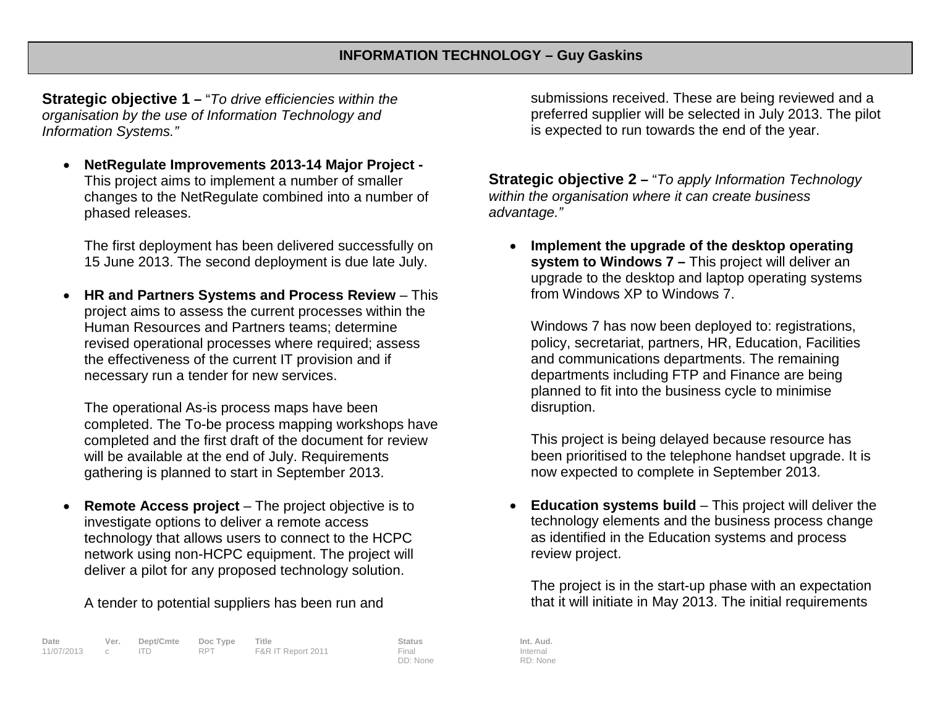**Strategic objective 1 –** "*To drive efficiencies within the organisation by the use of Information Technology and Information Systems."*

• **NetRegulate Improvements 2013-14 Major Project -** This project aims to implement a number of smaller changes to the NetRegulate combined into a number of phased releases.

The first deployment has been delivered successfully on 15 June 2013. The second deployment is due late July.

• **HR and Partners Systems and Process Review** – This project aims to assess the current processes within the Human Resources and Partners teams; determine revised operational processes where required; assess the effectiveness of the current IT provision and if necessary run a tender for new services.

The operational As-is process maps have been completed. The To-be process mapping workshops have completed and the first draft of the document for review will be available at the end of July. Requirements gathering is planned to start in September 2013.

**Remote Access project** – The project objective is to investigate options to deliver a remote access technology that allows users to connect to the HCPC network using non-HCPC equipment. The project will deliver a pilot for any proposed technology solution.

A tender to potential suppliers has been run and

| Date         | Ver. | Dept/Cmte Doc Type |     | Title              | Status   | Int. Aud. |
|--------------|------|--------------------|-----|--------------------|----------|-----------|
| 11/07/2013 c |      |                    | RPT | F&R IT Report 2011 | Final    | Internal  |
|              |      |                    |     |                    | DD: None | RD: None  |

submissions received. These are being reviewed and a preferred supplier will be selected in July 2013. The pilot is expected to run towards the end of the year.

**Strategic objective 2 –** "*To apply Information Technology within the organisation where it can create business advantage."*

• **Implement the upgrade of the desktop operating system to Windows 7 –** This project will deliver an upgrade to the desktop and laptop operating systems from Windows XP to Windows 7.

Windows 7 has now been deployed to: registrations, policy, secretariat, partners, HR, Education, Facilities and communications departments. The remaining departments including FTP and Finance are being planned to fit into the business cycle to minimise disruption.

This project is being delayed because resource has been prioritised to the telephone handset upgrade. It is now expected to complete in September 2013.

• **Education systems build** – This project will deliver the technology elements and the business process change as identified in the Education systems and process review project.

The project is in the start-up phase with an expectation that it will initiate in May 2013. The initial requirements

Internal RD: None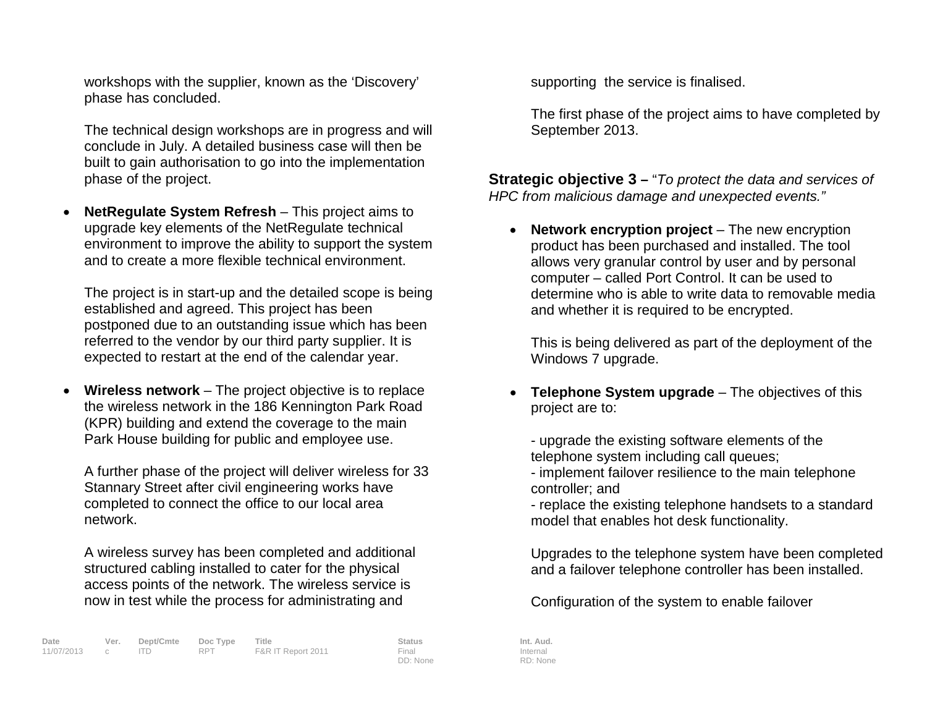workshops with the supplier, known as the 'Discovery' phase has concluded.

The technical design workshops are in progress and will conclude in July. A detailed business case will then be built to gain authorisation to go into the implementation phase of the project.

• **NetRegulate System Refresh** – This project aims to upgrade key elements of the NetRegulate technical environment to improve the ability to support the system and to create a more flexible technical environment.

The project is in start-up and the detailed scope is being established and agreed. This project has been postponed due to an outstanding issue which has been referred to the vendor by our third party supplier. It is expected to restart at the end of the calendar year.

• **Wireless network** – The project objective is to replace the wireless network in the 186 Kennington Park Road (KPR) building and extend the coverage to the main Park House building for public and employee use.

A further phase of the project will deliver wireless for 33 Stannary Street after civil engineering works have completed to connect the office to our local area network.

A wireless survey has been completed and additional structured cabling installed to cater for the physical access points of the network. The wireless service is now in test while the process for administrating and

supporting the service is finalised.

The first phase of the project aims to have completed by September 2013.

**Strategic objective 3 –** "*To protect the data and services of HPC from malicious damage and unexpected events."*

• **Network encryption project** – The new encryption product has been purchased and installed. The tool allows very granular control by user and by personal computer – called Port Control. It can be used to determine who is able to write data to removable media and whether it is required to be encrypted.

This is being delivered as part of the deployment of the Windows 7 upgrade.

**Telephone System upgrade** – The objectives of this project are to:

- upgrade the existing software elements of the telephone system including call queues;

- implement failover resilience to the main telephone controller; and

- replace the existing telephone handsets to a standard model that enables hot desk functionality.

Upgrades to the telephone system have been completed and a failover telephone controller has been installed.

Configuration of the system to enable failover

Internal RD: None

DD: None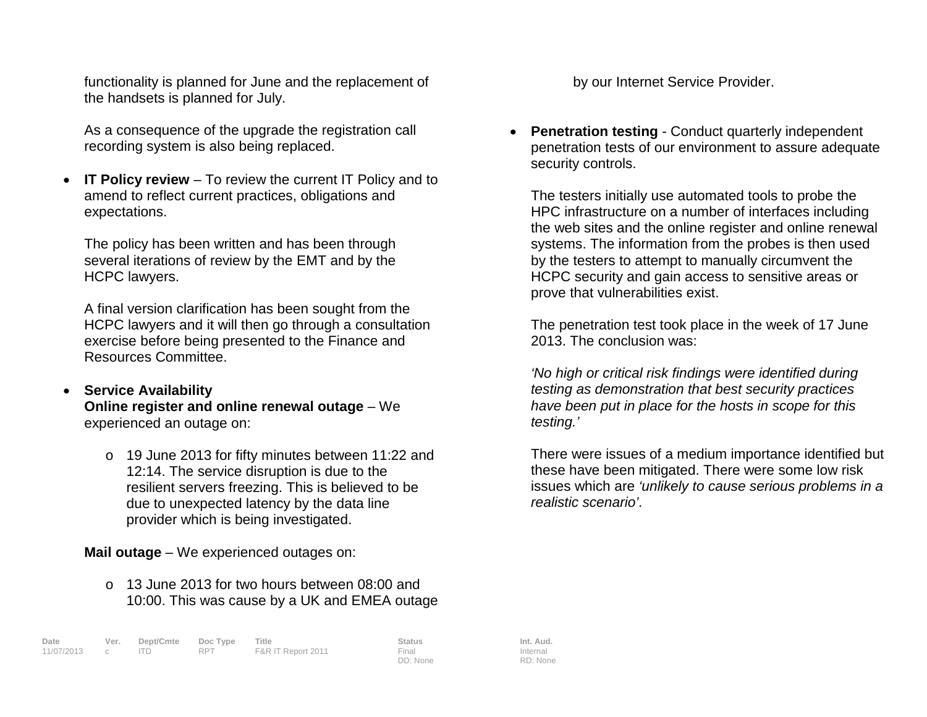functionality is planned for June and the replacement of the handsets is planned for July.

As a consequence of the upgrade the registration call recording system is also being replaced.

• **IT Policy review** – To review the current IT Policy and to amend to reflect current practices, obligations and expectations.

The policy has been written and has been through several iterations of review by the EMT and by the HCPC lawyers.

A final version clarification has been sought from the HCPC lawyers and it will then go through a consultation exercise before being presented to the Finance and Resources Committee.

## • **Service Availability Online register and online renewal outage** – We experienced an outage on:

o 19 June 2013 for fifty minutes between 11:22 and 12:14. The service disruption is due to the resilient servers freezing. This is believed to be due to unexpected latency by the data line provider which is being investigated.

**Mail outage** – We experienced outages on:

 $\circ$  13 June 2013 for two hours between 08:00 and 10:00. This was cause by a UK and EMEA outage

**Date Ver. Dept/Cmte Doc Type Title Status Int. Aud.** c ITD RPT F&R IT Report 2011

DD: None

Internal RD: None

by our Internet Service Provider.

• **Penetration testing** - Conduct quarterly independent penetration tests of our environment to assure adequate security controls.

The testers initially use automated tools to probe the HPC infrastructure on a number of interfaces including the web sites and the online register and online renewal systems. The information from the probes is then used by the testers to attempt to manually circumvent the HCPC security and gain access to sensitive areas or prove that vulnerabilities exist.

The penetration test took place in the week of 17 June 2013. The conclusion was:

*'No high or critical risk findings were identified during testing as demonstration that best security practices have been put in place for the hosts in scope for this testing.'*

There were issues of a medium importance identified but these have been mitigated. There were some low risk issues which are *'unlikely to cause serious problems in a realistic scenario'*.